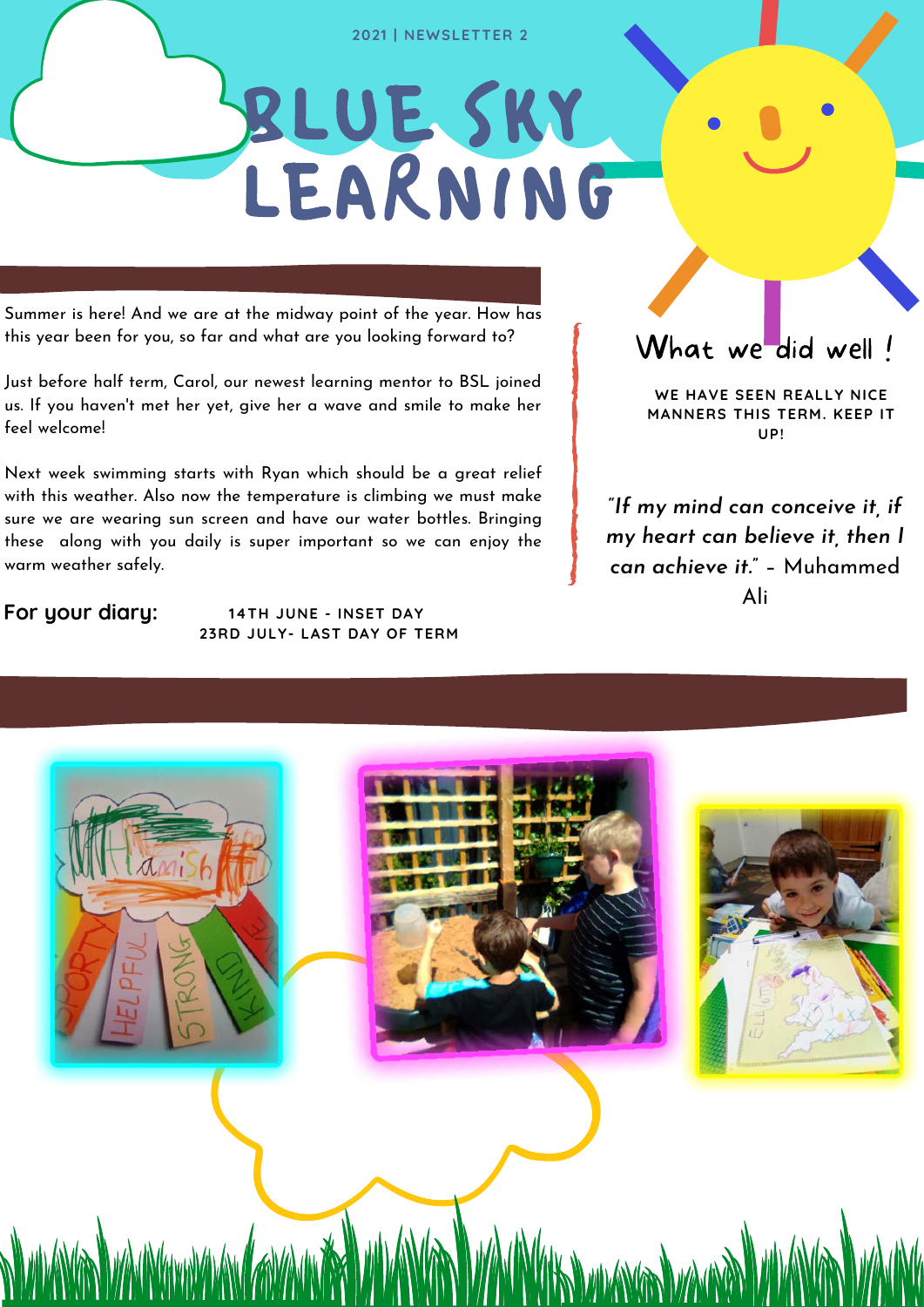#### **2021 | NEWSLETTER 2**

# BLUE SKY LEARNING

Summer is here! And we are at the midway point of the year. How has this year been for you, so far and what are you looking forward to?

Just before half term, Carol, our newest learning mentor to BSL joined us. If you haven't met her yet, give her a wave and smile to make her feel welcome!

Next week swimming starts with Ryan which should be a great relief with this weather. Also now the temperature is climbing we must make sure we are wearing sun screen and have our water bottles. Bringing these along with you daily is super important so we can enjoy the warm weather safely.

**For your diary: 14TH JUNE - INSET DAY 23RD JULY- LAST DAY OF TERM**

### What we did well !

**WE HAVE SEEN REALLY NICE MANNERS THIS TERM. KEEP IT UP!**

"*If my mind can conceive it, if my heart can believe it, then I can achieve it.*" – Muhammed Ali